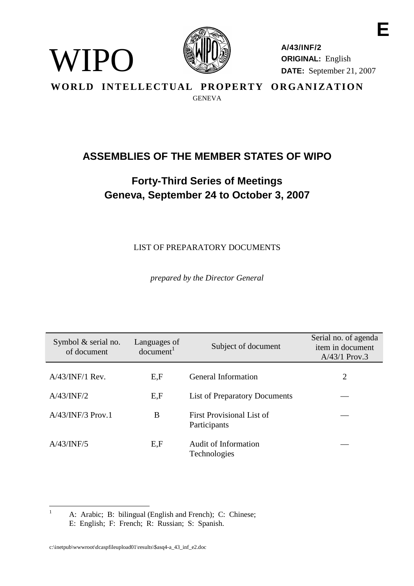

<span id="page-0-0"></span>WIPO

**A/43/INF/2 ORIGINAL:** English **DATE:** September 21, 2007

**E**

WORLD INTELLECTUAL PROPERTY ORGANIZATION **GENEVA** 

# **ASSEMBLIES OF THE MEMBER STATES OF WIPO**

# **Forty-Third Series of Meetings Geneva, September 24 to October 3, 2007**

LIST OF PREPARATORY DOCUMENTS

*prepared by the Director General*

| Symbol $&$ serial no.<br>of document | Languages of<br>document <sup>1</sup> | Subject of document                       | Serial no. of agenda<br>item in document<br>$A/43/1$ Prov.3 |
|--------------------------------------|---------------------------------------|-------------------------------------------|-------------------------------------------------------------|
| $A/43/INF/1$ Rev.                    | E,F                                   | <b>General Information</b>                | 2                                                           |
| A/43/INF/2                           | E,F                                   | <b>List of Preparatory Documents</b>      |                                                             |
| $A/43/INF/3$ Prov.1                  | B                                     | First Provisional List of<br>Participants |                                                             |
| A/43/INF/5                           | E, F                                  | Audit of Information<br>Technologies      |                                                             |

<sup>1</sup> A: Arabic; B: bilingual (English and French); C: Chinese; E: English; F: French; R: Russian; S: Spanish.

c:\inetpub\wwwroot\dcaspfileupload01\results\\$asq4-a\_43\_inf\_e2.doc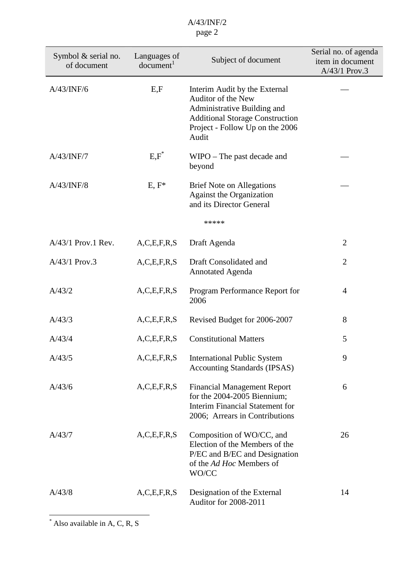| Symbol $&$ serial no.<br>of document | Languages of<br>document <sup>1</sup> | Subject of document                                                                                                                                                      | Serial no. of agenda<br>item in document<br>A/43/1 Prov.3 |
|--------------------------------------|---------------------------------------|--------------------------------------------------------------------------------------------------------------------------------------------------------------------------|-----------------------------------------------------------|
| A/43/INF/6                           | E, F                                  | Interim Audit by the External<br>Auditor of the New<br>Administrative Building and<br><b>Additional Storage Construction</b><br>Project - Follow Up on the 2006<br>Audit |                                                           |
| A/43/INF/7                           | $E, F^*$                              | $W \times P$ The past decade and<br>beyond                                                                                                                               |                                                           |
| A/43/INF/8                           | $E, F^*$                              | <b>Brief Note on Allegations</b><br><b>Against the Organization</b><br>and its Director General                                                                          |                                                           |
|                                      |                                       | *****                                                                                                                                                                    |                                                           |
| A/43/1 Prov.1 Rev.                   | A, C, E, F, R, S                      | Draft Agenda                                                                                                                                                             | $\overline{2}$                                            |
| A/43/1 Prov.3                        | A, C, E, F, R, S                      | Draft Consolidated and<br><b>Annotated Agenda</b>                                                                                                                        | $\overline{2}$                                            |
| A/43/2                               | A, C, E, F, R, S                      | Program Performance Report for<br>2006                                                                                                                                   | 4                                                         |
| A/43/3                               | A, C, E, F, R, S                      | Revised Budget for 2006-2007                                                                                                                                             | 8                                                         |
| A/43/4                               | A, C, E, F, R, S                      | <b>Constitutional Matters</b>                                                                                                                                            | 5                                                         |
| A/43/5                               | A, C, E, F, R, S                      | <b>International Public System</b><br><b>Accounting Standards (IPSAS)</b>                                                                                                | 9                                                         |
| A/43/6                               | A, C, E, F, R, S                      | <b>Financial Management Report</b><br>for the 2004-2005 Biennium;<br><b>Interim Financial Statement for</b><br>2006; Arrears in Contributions                            | 6                                                         |
| A/43/7                               | A, C, E, F, R, S                      | Composition of WO/CC, and<br>Election of the Members of the<br>P/EC and B/EC and Designation<br>of the Ad Hoc Members of<br>WO/CC                                        | 26                                                        |
| A/43/8                               | A, C, E, F, R, S                      | Designation of the External<br>Auditor for 2008-2011                                                                                                                     | 14                                                        |

<sup>\*</sup> Also available in A, C, R, S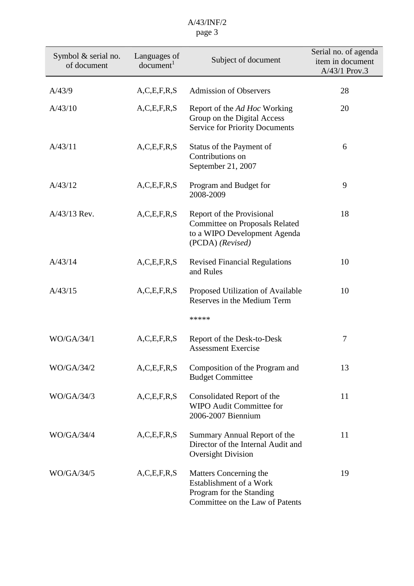| Symbol $&$ serial no.<br>of document | Languages of<br>document <sup>1</sup> | Subject of document                                                                                                    | Serial no. of agenda<br>item in document<br>A/43/1 Prov.3 |
|--------------------------------------|---------------------------------------|------------------------------------------------------------------------------------------------------------------------|-----------------------------------------------------------|
| A/43/9                               | A, C, E, F, R, S                      | <b>Admission of Observers</b>                                                                                          | 28                                                        |
| A/43/10                              | A, C, E, F, R, S                      | Report of the <i>Ad Hoc</i> Working<br>Group on the Digital Access<br><b>Service for Priority Documents</b>            | 20                                                        |
| A/43/11                              | A, C, E, F, R, S                      | Status of the Payment of<br>Contributions on<br>September 21, 2007                                                     | 6                                                         |
| A/43/12                              | A, C, E, F, R, S                      | Program and Budget for<br>2008-2009                                                                                    | 9                                                         |
| A/43/13 Rev.                         | A, C, E, F, R, S                      | Report of the Provisional<br><b>Committee on Proposals Related</b><br>to a WIPO Development Agenda<br>(PCDA) (Revised) | 18                                                        |
| A/43/14                              | A, C, E, F, R, S                      | <b>Revised Financial Regulations</b><br>and Rules                                                                      | 10                                                        |
| A/43/15                              | A, C, E, F, R, S                      | Proposed Utilization of Available<br>Reserves in the Medium Term<br>*****                                              | 10                                                        |
| WO/GA/34/1                           | A, C, E, F, R, S                      | Report of the Desk-to-Desk<br><b>Assessment Exercise</b>                                                               | 7                                                         |
| WO/GA/34/2                           | A, C, E, F, R, S                      | Composition of the Program and<br><b>Budget Committee</b>                                                              | 13                                                        |
| WO/GA/34/3                           | A, C, E, F, R, S                      | Consolidated Report of the<br><b>WIPO Audit Committee for</b><br>2006-2007 Biennium                                    | 11                                                        |
| <b>WO/GA/34/4</b>                    | A, C, E, F, R, S                      | Summary Annual Report of the<br>Director of the Internal Audit and<br><b>Oversight Division</b>                        | 11                                                        |
| WO/GA/34/5                           | A, C, E, F, R, S                      | Matters Concerning the<br>Establishment of a Work<br>Program for the Standing<br>Committee on the Law of Patents       | 19                                                        |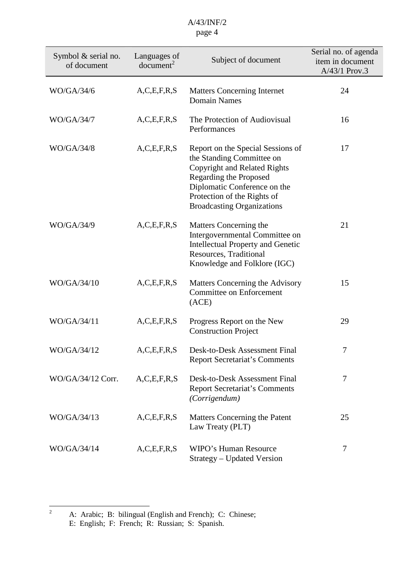| Symbol $&$ serial no.<br>of document | Languages of<br>document <sup>2</sup> | Subject of document                                                                                                                                                                                                          | Serial no. of agenda<br>item in document<br>A/43/1 Prov.3 |
|--------------------------------------|---------------------------------------|------------------------------------------------------------------------------------------------------------------------------------------------------------------------------------------------------------------------------|-----------------------------------------------------------|
| WO/GA/34/6                           | A, C, E, F, R, S                      | <b>Matters Concerning Internet</b><br><b>Domain Names</b>                                                                                                                                                                    | 24                                                        |
| WO/GA/34/7                           | A, C, E, F, R, S                      | The Protection of Audiovisual<br>Performances                                                                                                                                                                                | 16                                                        |
| WO/GA/34/8                           | A, C, E, F, R, S                      | Report on the Special Sessions of<br>the Standing Committee on<br>Copyright and Related Rights<br>Regarding the Proposed<br>Diplomatic Conference on the<br>Protection of the Rights of<br><b>Broadcasting Organizations</b> | 17                                                        |
| WO/GA/34/9                           | A, C, E, F, R, S                      | Matters Concerning the<br>Intergovernmental Committee on<br><b>Intellectual Property and Genetic</b><br>Resources, Traditional<br>Knowledge and Folklore (IGC)                                                               | 21                                                        |
| WO/GA/34/10                          | A, C, E, F, R, S                      | Matters Concerning the Advisory<br><b>Committee on Enforcement</b><br>(ACE)                                                                                                                                                  | 15                                                        |
| WO/GA/34/11                          | A, C, E, F, R, S                      | Progress Report on the New<br><b>Construction Project</b>                                                                                                                                                                    | 29                                                        |
| WO/GA/34/12                          | A, C, E, F, R, S                      | Desk-to-Desk Assessment Final<br><b>Report Secretariat's Comments</b>                                                                                                                                                        | 7                                                         |
| WO/GA/34/12 Corr.                    | A, C, E, F, R, S                      | Desk-to-Desk Assessment Final<br><b>Report Secretariat's Comments</b><br>(Corrigendum)                                                                                                                                       | 7                                                         |
| WO/GA/34/13                          | A, C, E, F, R, S                      | Matters Concerning the Patent<br>Law Treaty (PLT)                                                                                                                                                                            | 25                                                        |
| WO/GA/34/14                          | A, C, E, F, R, S                      | <b>WIPO's Human Resource</b><br>Strategy – Updated Version                                                                                                                                                                   | 7                                                         |

<sup>&</sup>lt;sup>2</sup> A: Arabic; B: bilingual (English and French); C: Chinese; E: English; F: French; R: Russian; S: Spanish.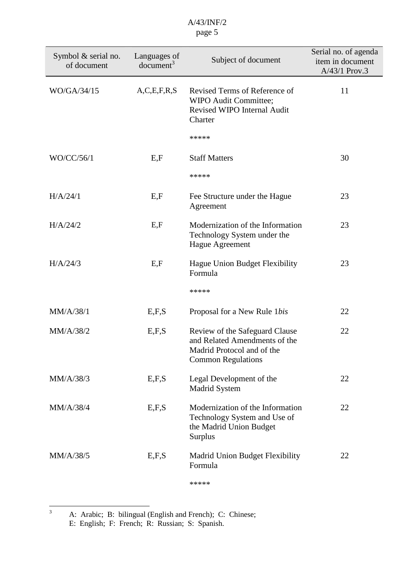| Symbol $&$ serial no.<br>of document | Languages of<br>document <sup>3</sup> | Subject of document                                                                                                        | Serial no. of agenda<br>item in document<br>A/43/1 Prov.3 |
|--------------------------------------|---------------------------------------|----------------------------------------------------------------------------------------------------------------------------|-----------------------------------------------------------|
| WO/GA/34/15                          | A, C, E, F, R, S                      | Revised Terms of Reference of<br>WIPO Audit Committee;<br>Revised WIPO Internal Audit<br>Charter                           | 11                                                        |
|                                      |                                       | *****                                                                                                                      |                                                           |
| WO/CC/56/1                           | E, F                                  | <b>Staff Matters</b>                                                                                                       | 30                                                        |
|                                      |                                       | *****                                                                                                                      |                                                           |
| H/A/24/1                             | E, F                                  | Fee Structure under the Hague<br>Agreement                                                                                 | 23                                                        |
| H/A/24/2                             | E, F                                  | Modernization of the Information<br>Technology System under the<br>Hague Agreement                                         | 23                                                        |
| H/A/24/3                             | E, F                                  | Hague Union Budget Flexibility<br>Formula                                                                                  | 23                                                        |
|                                      |                                       | *****                                                                                                                      |                                                           |
| MM/A/38/1                            | E, F, S                               | Proposal for a New Rule 1bis                                                                                               | 22                                                        |
| MM/A/38/2                            | E, F, S                               | Review of the Safeguard Clause<br>and Related Amendments of the<br>Madrid Protocol and of the<br><b>Common Regulations</b> | 22                                                        |
| MM/A/38/3                            | E, F, S                               | Legal Development of the<br>Madrid System                                                                                  | 22                                                        |
| MM/A/38/4                            | E, F, S                               | Modernization of the Information<br>Technology System and Use of<br>the Madrid Union Budget<br>Surplus                     | 22                                                        |
| MM/A/38/5                            | E, F, S                               | Madrid Union Budget Flexibility<br>Formula                                                                                 | 22                                                        |
|                                      |                                       | *****                                                                                                                      |                                                           |

 $3$  A: Arabic; B: bilingual (English and French); C: Chinese; E: English; F: French; R: Russian; S: Spanish.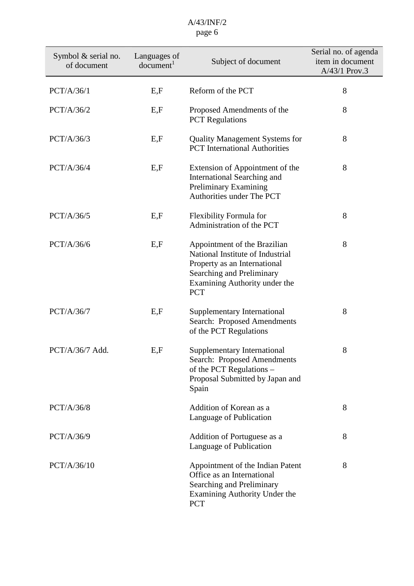| Symbol $&$ serial no.<br>of document | Languages of<br>document <sup>1</sup> | Subject of document                                                                                                                                                          | Serial no. of agenda<br>item in document<br>A/43/1 Prov.3 |
|--------------------------------------|---------------------------------------|------------------------------------------------------------------------------------------------------------------------------------------------------------------------------|-----------------------------------------------------------|
| PCT/A/36/1                           | E, F                                  | Reform of the PCT                                                                                                                                                            | 8                                                         |
| PCT/A/36/2                           | E, F                                  | Proposed Amendments of the<br><b>PCT</b> Regulations                                                                                                                         | 8                                                         |
| PCT/A/36/3                           | E, F                                  | <b>Quality Management Systems for</b><br><b>PCT</b> International Authorities                                                                                                | 8                                                         |
| PCT/A/36/4                           | E, F                                  | Extension of Appointment of the<br>International Searching and<br>Preliminary Examining<br>Authorities under The PCT                                                         | 8                                                         |
| PCT/A/36/5                           | E, F                                  | Flexibility Formula for<br>Administration of the PCT                                                                                                                         | 8                                                         |
| PCT/A/36/6                           | E, F                                  | Appointment of the Brazilian<br>National Institute of Industrial<br>Property as an International<br>Searching and Preliminary<br>Examining Authority under the<br><b>PCT</b> | 8                                                         |
| PCT/A/36/7                           | E, F                                  | Supplementary International<br>Search: Proposed Amendments<br>of the PCT Regulations                                                                                         | 8                                                         |
| $PCT/A/36/7$ Add.                    | E, F                                  | Supplementary International<br>Search: Proposed Amendments<br>of the PCT Regulations -<br>Proposal Submitted by Japan and<br>Spain                                           | 8                                                         |
| PCT/A/36/8                           |                                       | Addition of Korean as a<br>Language of Publication                                                                                                                           | 8                                                         |
| PCT/A/36/9                           |                                       | Addition of Portuguese as a<br>Language of Publication                                                                                                                       | 8                                                         |
| PCT/A/36/10                          |                                       | Appointment of the Indian Patent<br>Office as an International<br>Searching and Preliminary<br>Examining Authority Under the<br><b>PCT</b>                                   | 8                                                         |